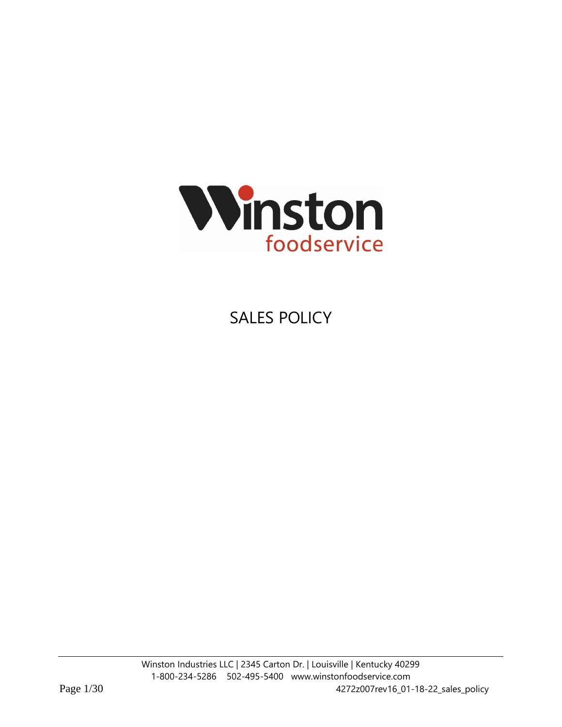

# SALES POLICY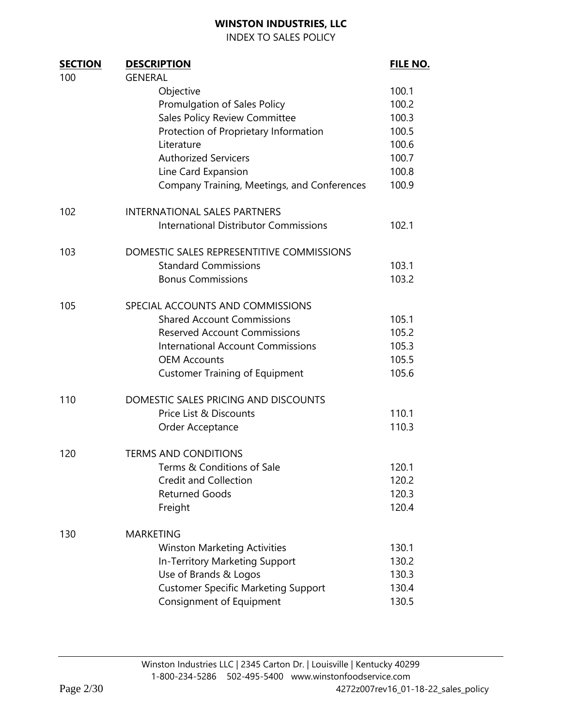INDEX TO SALES POLICY

| <b>SECTION</b> | <b>DESCRIPTION</b>                           | <b>FILE NO.</b> |
|----------------|----------------------------------------------|-----------------|
| 100            | <b>GENERAL</b>                               |                 |
|                | Objective                                    | 100.1           |
|                | Promulgation of Sales Policy                 | 100.2           |
|                | Sales Policy Review Committee                | 100.3           |
|                | Protection of Proprietary Information        | 100.5           |
|                | Literature                                   | 100.6           |
|                | <b>Authorized Servicers</b>                  | 100.7           |
|                | Line Card Expansion                          | 100.8           |
|                | Company Training, Meetings, and Conferences  | 100.9           |
| 102            | <b>INTERNATIONAL SALES PARTNERS</b>          |                 |
|                | <b>International Distributor Commissions</b> | 102.1           |
| 103            | DOMESTIC SALES REPRESENTITIVE COMMISSIONS    |                 |
|                | <b>Standard Commissions</b>                  | 103.1           |
|                | <b>Bonus Commissions</b>                     | 103.2           |
| 105            | SPECIAL ACCOUNTS AND COMMISSIONS             |                 |
|                | <b>Shared Account Commissions</b>            | 105.1           |
|                | <b>Reserved Account Commissions</b>          | 105.2           |
|                | <b>International Account Commissions</b>     | 105.3           |
|                | <b>OEM Accounts</b>                          | 105.5           |
|                | <b>Customer Training of Equipment</b>        | 105.6           |
| 110            | DOMESTIC SALES PRICING AND DISCOUNTS         |                 |
|                | Price List & Discounts                       | 110.1           |
|                | Order Acceptance                             | 110.3           |
| 120            | <b>TERMS AND CONDITIONS</b>                  |                 |
|                | Terms & Conditions of Sale                   | 120.1           |
|                | <b>Credit and Collection</b>                 | 120.2           |
|                | <b>Returned Goods</b>                        | 120.3           |
|                | Freight                                      | 120.4           |
| 130            | <b>MARKETING</b>                             |                 |
|                | <b>Winston Marketing Activities</b>          | 130.1           |
|                | In-Territory Marketing Support               | 130.2           |
|                | Use of Brands & Logos                        | 130.3           |
|                | <b>Customer Specific Marketing Support</b>   | 130.4           |
|                | Consignment of Equipment                     | 130.5           |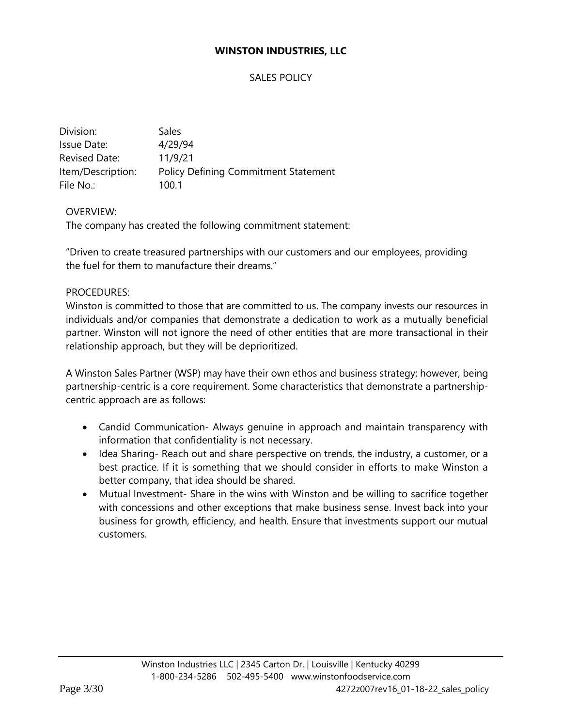## SALES POLICY

| Division:         | Sales                                       |
|-------------------|---------------------------------------------|
| Issue Date:       | 4/29/94                                     |
| Revised Date:     | 11/9/21                                     |
| Item/Description: | <b>Policy Defining Commitment Statement</b> |
| File No.:         | 100.1                                       |

## OVERVIEW:

The company has created the following commitment statement:

"Driven to create treasured partnerships with our customers and our employees, providing the fuel for them to manufacture their dreams."

#### PROCEDURES:

Winston is committed to those that are committed to us. The company invests our resources in individuals and/or companies that demonstrate a dedication to work as a mutually beneficial partner. Winston will not ignore the need of other entities that are more transactional in their relationship approach, but they will be deprioritized.

A Winston Sales Partner (WSP) may have their own ethos and business strategy; however, being partnership-centric is a core requirement. Some characteristics that demonstrate a partnershipcentric approach are as follows:

- Candid Communication- Always genuine in approach and maintain transparency with information that confidentiality is not necessary.
- Idea Sharing- Reach out and share perspective on trends, the industry, a customer, or a best practice. If it is something that we should consider in efforts to make Winston a better company, that idea should be shared.
- Mutual Investment- Share in the wins with Winston and be willing to sacrifice together with concessions and other exceptions that make business sense. Invest back into your business for growth, efficiency, and health. Ensure that investments support our mutual customers.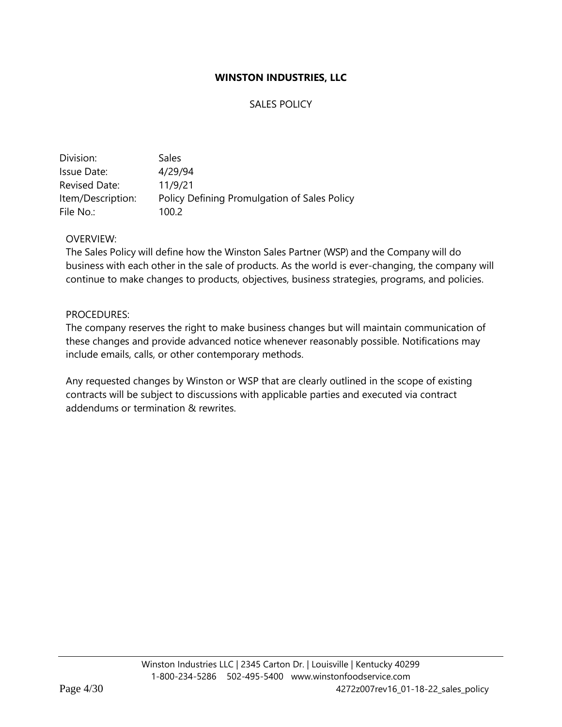# SALES POLICY

| Division:         | <b>Sales</b>                                 |
|-------------------|----------------------------------------------|
| Issue Date:       | 4/29/94                                      |
| Revised Date:     | 11/9/21                                      |
| Item/Description: | Policy Defining Promulgation of Sales Policy |
| File No.:         | 100.2                                        |

## OVERVIEW:

The Sales Policy will define how the Winston Sales Partner (WSP) and the Company will do business with each other in the sale of products. As the world is ever-changing, the company will continue to make changes to products, objectives, business strategies, programs, and policies.

#### PROCEDURES:

The company reserves the right to make business changes but will maintain communication of these changes and provide advanced notice whenever reasonably possible. Notifications may include emails, calls, or other contemporary methods.

Any requested changes by Winston or WSP that are clearly outlined in the scope of existing contracts will be subject to discussions with applicable parties and executed via contract addendums or termination & rewrites.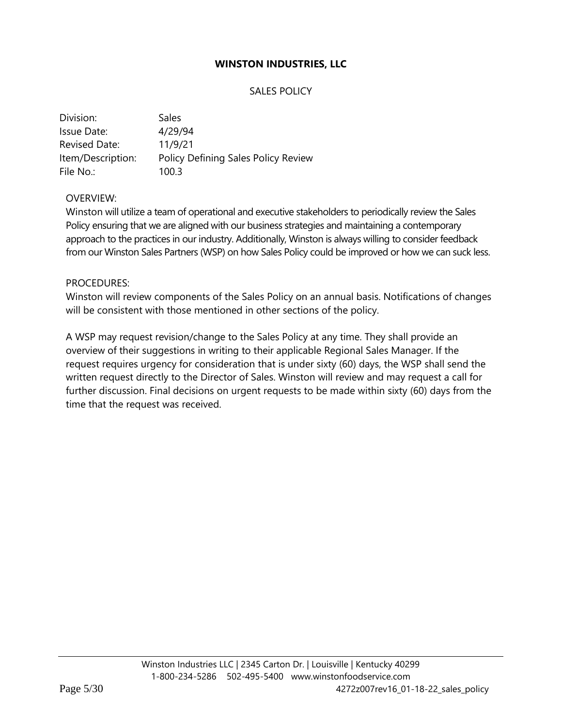# SALES POLICY

| Division:            | Sales                               |
|----------------------|-------------------------------------|
| Issue Date:          | 4/29/94                             |
| <b>Revised Date:</b> | 11/9/21                             |
| Item/Description:    | Policy Defining Sales Policy Review |
| File No.:            | 100.3                               |

## OVERVIEW:

Winston will utilize a team of operational and executive stakeholders to periodically review the Sales Policy ensuring that we are aligned with our business strategies and maintaining a contemporary approach to the practices in our industry. Additionally, Winston is always willing to consider feedback from our Winston Sales Partners (WSP) on how Sales Policy could be improved or how we can suck less.

#### PROCEDURES:

Winston will review components of the Sales Policy on an annual basis. Notifications of changes will be consistent with those mentioned in other sections of the policy.

A WSP may request revision/change to the Sales Policy at any time. They shall provide an overview of their suggestions in writing to their applicable Regional Sales Manager. If the request requires urgency for consideration that is under sixty (60) days, the WSP shall send the written request directly to the Director of Sales. Winston will review and may request a call for further discussion. Final decisions on urgent requests to be made within sixty (60) days from the time that the request was received.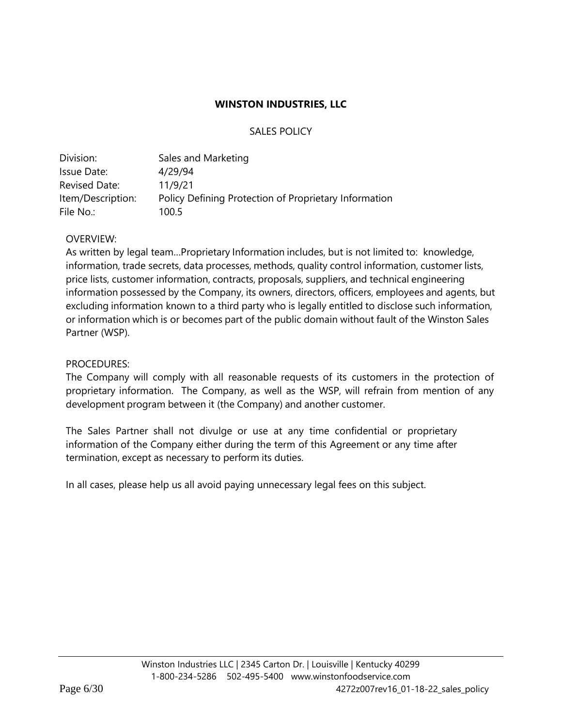## SALES POLICY

| Division:         | Sales and Marketing                                   |
|-------------------|-------------------------------------------------------|
| Issue Date:       | 4/29/94                                               |
| Revised Date:     | 11/9/21                                               |
| Item/Description: | Policy Defining Protection of Proprietary Information |
| File No.:         | 100.5                                                 |

## OVERVIEW:

As written by legal team…Proprietary Information includes, but is not limited to: knowledge, information, trade secrets, data processes, methods, quality control information, customer lists, price lists, customer information, contracts, proposals, suppliers, and technical engineering information possessed by the Company, its owners, directors, officers, employees and agents, but excluding information known to a third party who is legally entitled to disclose such information, or information which is or becomes part of the public domain without fault of the Winston Sales Partner (WSP).

## PROCEDURES:

The Company will comply with all reasonable requests of its customers in the protection of proprietary information. The Company, as well as the WSP, will refrain from mention of any development program between it (the Company) and another customer.

The Sales Partner shall not divulge or use at any time confidential or proprietary information of the Company either during the term of this Agreement or any time after termination, except as necessary to perform its duties.

In all cases, please help us all avoid paying unnecessary legal fees on this subject.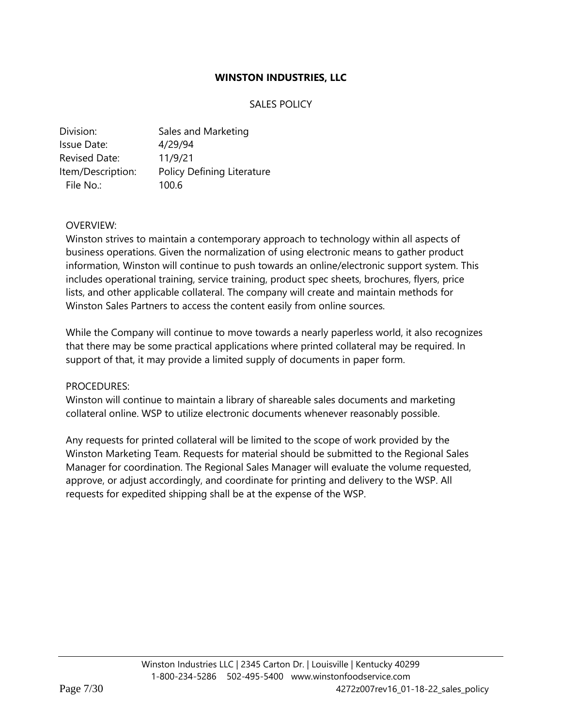# SALES POLICY

| Division:            | Sales and Marketing        |
|----------------------|----------------------------|
| Issue Date:          | 4/29/94                    |
| <b>Revised Date:</b> | 11/9/21                    |
| Item/Description:    | Policy Defining Literature |
| File No.:            | 100.6                      |

## OVERVIEW:

Winston strives to maintain a contemporary approach to technology within all aspects of business operations. Given the normalization of using electronic means to gather product information, Winston will continue to push towards an online/electronic support system. This includes operational training, service training, product spec sheets, brochures, flyers, price lists, and other applicable collateral. The company will create and maintain methods for Winston Sales Partners to access the content easily from online sources.

While the Company will continue to move towards a nearly paperless world, it also recognizes that there may be some practical applications where printed collateral may be required. In support of that, it may provide a limited supply of documents in paper form.

#### PROCEDURES:

Winston will continue to maintain a library of shareable sales documents and marketing collateral online. WSP to utilize electronic documents whenever reasonably possible.

Any requests for printed collateral will be limited to the scope of work provided by the Winston Marketing Team. Requests for material should be submitted to the Regional Sales Manager for coordination. The Regional Sales Manager will evaluate the volume requested, approve, or adjust accordingly, and coordinate for printing and delivery to the WSP. All requests for expedited shipping shall be at the expense of the WSP.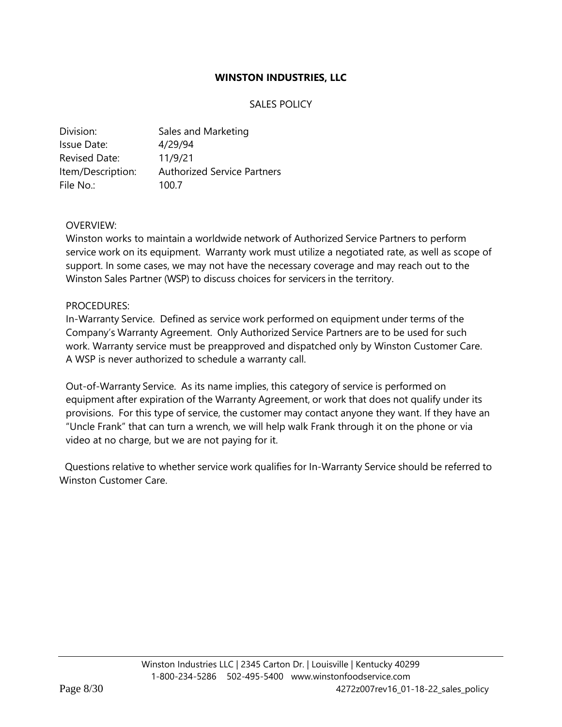# SALES POLICY

| Division:            | Sales and Marketing                |
|----------------------|------------------------------------|
| Issue Date:          | 4/29/94                            |
| <b>Revised Date:</b> | 11/9/21                            |
| Item/Description:    | <b>Authorized Service Partners</b> |
| File No.:            | 100.7                              |

## OVERVIEW:

Winston works to maintain a worldwide network of Authorized Service Partners to perform service work on its equipment. Warranty work must utilize a negotiated rate, as well as scope of support. In some cases, we may not have the necessary coverage and may reach out to the Winston Sales Partner (WSP) to discuss choices for servicers in the territory.

## PROCEDURES:

In-Warranty Service. Defined as service work performed on equipment under terms of the Company's Warranty Agreement. Only Authorized Service Partners are to be used for such work. Warranty service must be preapproved and dispatched only by Winston Customer Care. A WSP is never authorized to schedule a warranty call.

Out-of-Warranty Service. As its name implies, this category of service is performed on equipment after expiration of the Warranty Agreement, or work that does not qualify under its provisions. For this type of service, the customer may contact anyone they want. If they have an "Uncle Frank" that can turn a wrench, we will help walk Frank through it on the phone or via video at no charge, but we are not paying for it.

 Questions relative to whether service work qualifies for In-Warranty Service should be referred to Winston Customer Care.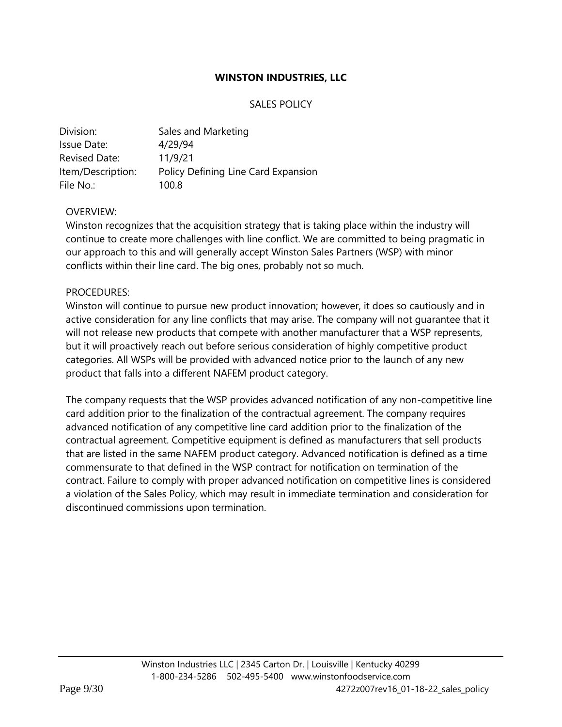## SALES POLICY

| Division:            | Sales and Marketing                 |
|----------------------|-------------------------------------|
| Issue Date:          | 4/29/94                             |
| <b>Revised Date:</b> | 11/9/21                             |
| Item/Description:    | Policy Defining Line Card Expansion |
| File No.:            | 100.8                               |

# OVERVIEW:

Winston recognizes that the acquisition strategy that is taking place within the industry will continue to create more challenges with line conflict. We are committed to being pragmatic in our approach to this and will generally accept Winston Sales Partners (WSP) with minor conflicts within their line card. The big ones, probably not so much.

## PROCEDURES:

Winston will continue to pursue new product innovation; however, it does so cautiously and in active consideration for any line conflicts that may arise. The company will not guarantee that it will not release new products that compete with another manufacturer that a WSP represents, but it will proactively reach out before serious consideration of highly competitive product categories. All WSPs will be provided with advanced notice prior to the launch of any new product that falls into a different NAFEM product category.

The company requests that the WSP provides advanced notification of any non-competitive line card addition prior to the finalization of the contractual agreement. The company requires advanced notification of any competitive line card addition prior to the finalization of the contractual agreement. Competitive equipment is defined as manufacturers that sell products that are listed in the same NAFEM product category. Advanced notification is defined as a time commensurate to that defined in the WSP contract for notification on termination of the contract. Failure to comply with proper advanced notification on competitive lines is considered a violation of the Sales Policy, which may result in immediate termination and consideration for discontinued commissions upon termination.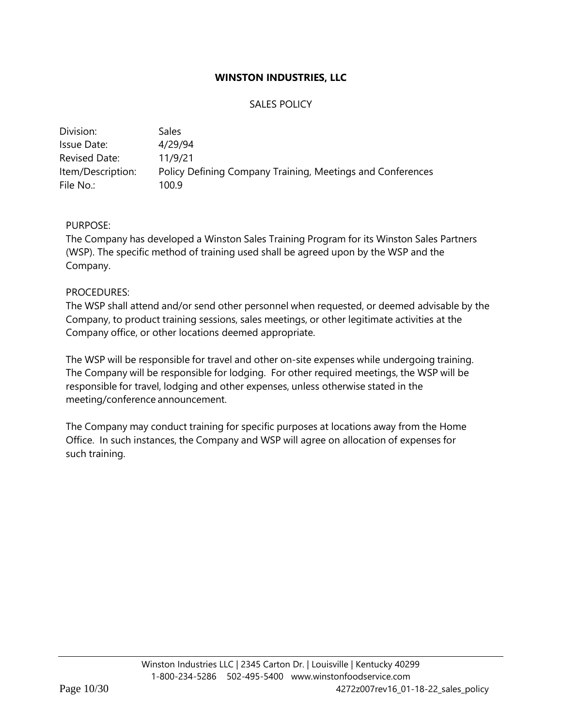# SALES POLICY

| Sales                                                      |
|------------------------------------------------------------|
| 4/29/94                                                    |
| 11/9/21                                                    |
| Policy Defining Company Training, Meetings and Conferences |
| 100.9                                                      |
|                                                            |

# PURPOSE:

The Company has developed a Winston Sales Training Program for its Winston Sales Partners (WSP). The specific method of training used shall be agreed upon by the WSP and the Company.

## PROCEDURES:

The WSP shall attend and/or send other personnel when requested, or deemed advisable by the Company, to product training sessions, sales meetings, or other legitimate activities at the Company office, or other locations deemed appropriate.

The WSP will be responsible for travel and other on-site expenses while undergoing training. The Company will be responsible for lodging. For other required meetings, the WSP will be responsible for travel, lodging and other expenses, unless otherwise stated in the meeting/conference announcement.

The Company may conduct training for specific purposes at locations away from the Home Office. In such instances, the Company and WSP will agree on allocation of expenses for such training.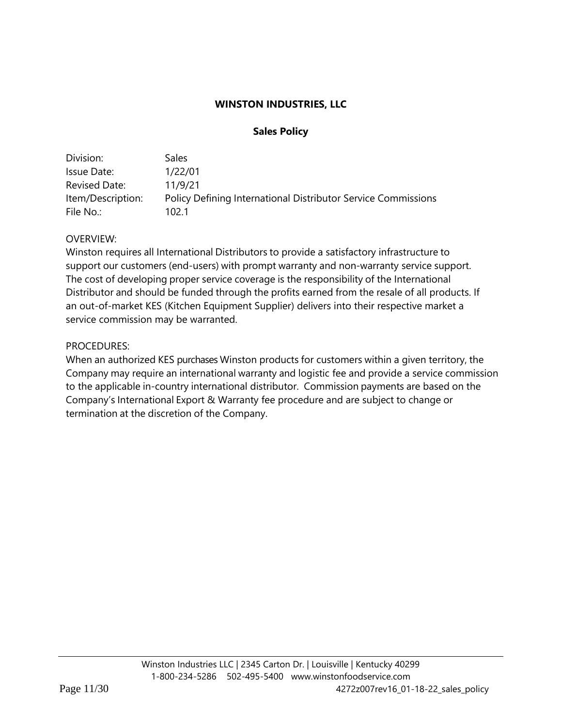# **Sales Policy**

| Division:         | Sales                                                                |
|-------------------|----------------------------------------------------------------------|
| Issue Date:       | 1/22/01                                                              |
| Revised Date:     | 11/9/21                                                              |
| Item/Description: | <b>Policy Defining International Distributor Service Commissions</b> |
| File No.:         | 102 1                                                                |

# OVERVIEW:

Winston requires all International Distributors to provide a satisfactory infrastructure to support our customers (end-users) with prompt warranty and non-warranty service support. The cost of developing proper service coverage is the responsibility of the International Distributor and should be funded through the profits earned from the resale of all products. If an out-of-market KES (Kitchen Equipment Supplier) delivers into their respective market a service commission may be warranted.

# PROCEDURES:

When an authorized KES purchases Winston products for customers within a given territory, the Company may require an international warranty and logistic fee and provide a service commission to the applicable in-country international distributor. Commission payments are based on the Company's International Export & Warranty fee procedure and are subject to change or termination at the discretion of the Company.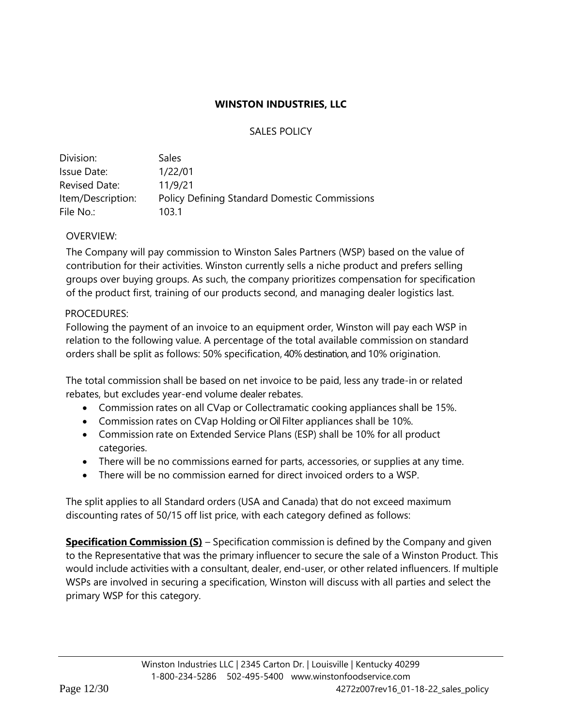# SALES POLICY

| Division:         | <b>Sales</b>                                         |
|-------------------|------------------------------------------------------|
| Issue Date:       | 1/22/01                                              |
| Revised Date:     | 11/9/21                                              |
| Item/Description: | <b>Policy Defining Standard Domestic Commissions</b> |
| File No.:         | 103.1                                                |

# OVERVIEW:

The Company will pay commission to Winston Sales Partners (WSP) based on the value of contribution for their activities. Winston currently sells a niche product and prefers selling groups over buying groups. As such, the company prioritizes compensation for specification of the product first, training of our products second, and managing dealer logistics last.

# PROCEDURES:

Following the payment of an invoice to an equipment order, Winston will pay each WSP in relation to the following value. A percentage of the total available commission on standard orders shall be split as follows: 50% specification, 40% destination, and 10% origination.

The total commission shall be based on net invoice to be paid, less any trade-in or related rebates, but excludes year-end volume dealer rebates.

- Commission rates on all CVap or Collectramatic cooking appliances shall be 15%.
- Commission rates on CVap Holding or Oil Filter appliances shall be 10%.
- Commission rate on Extended Service Plans (ESP) shall be 10% for all product categories.
- There will be no commissions earned for parts, accessories, or supplies at any time.
- There will be no commission earned for direct invoiced orders to a WSP.

The split applies to all Standard orders (USA and Canada) that do not exceed maximum discounting rates of 50/15 off list price, with each category defined as follows:

**Specification Commission (S)** – Specification commission is defined by the Company and given to the Representative that was the primary influencer to secure the sale of a Winston Product. This would include activities with a consultant, dealer, end-user, or other related influencers. If multiple WSPs are involved in securing a specification, Winston will discuss with all parties and select the primary WSP for this category.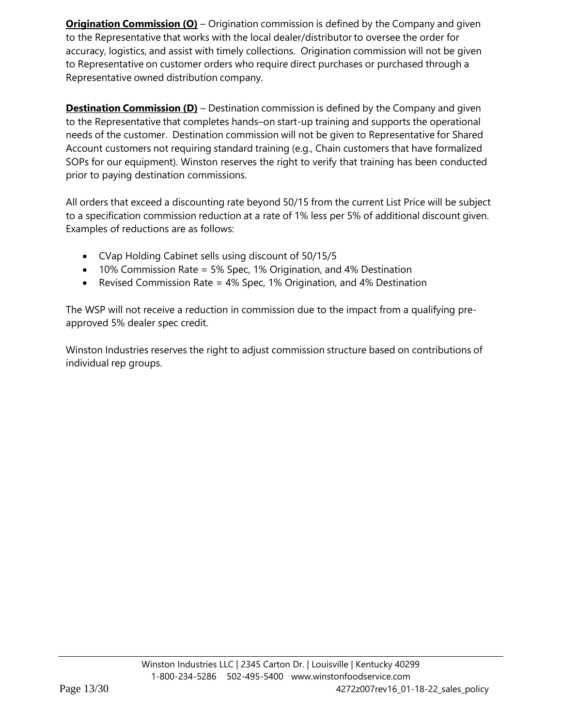**Origination Commission (O)** – Origination commission is defined by the Company and given to the Representative that works with the local dealer/distributor to oversee the order for accuracy, logistics, and assist with timely collections. Origination commission will not be given to Representative on customer orders who require direct purchases or purchased through a Representative owned distribution company.

**Destination Commission (D)** – Destination commission is defined by the Company and given to the Representative that completes hands–on start-up training and supports the operational needs of the customer. Destination commission will not be given to Representative for Shared Account customers not requiring standard training (e.g., Chain customers that have formalized SOPs for our equipment). Winston reserves the right to verify that training has been conducted prior to paying destination commissions.

All orders that exceed a discounting rate beyond 50/15 from the current List Price will be subject to a specification commission reduction at a rate of 1% less per 5% of additional discount given. Examples of reductions are as follows:

- CVap Holding Cabinet sells using discount of 50/15/5
- 10% Commission Rate = 5% Spec, 1% Origination, and 4% Destination
- Revised Commission Rate = 4% Spec, 1% Origination, and 4% Destination

The WSP will not receive a reduction in commission due to the impact from a qualifying preapproved 5% dealer spec credit.

Winston Industries reserves the right to adjust commission structure based on contributions of individual rep groups.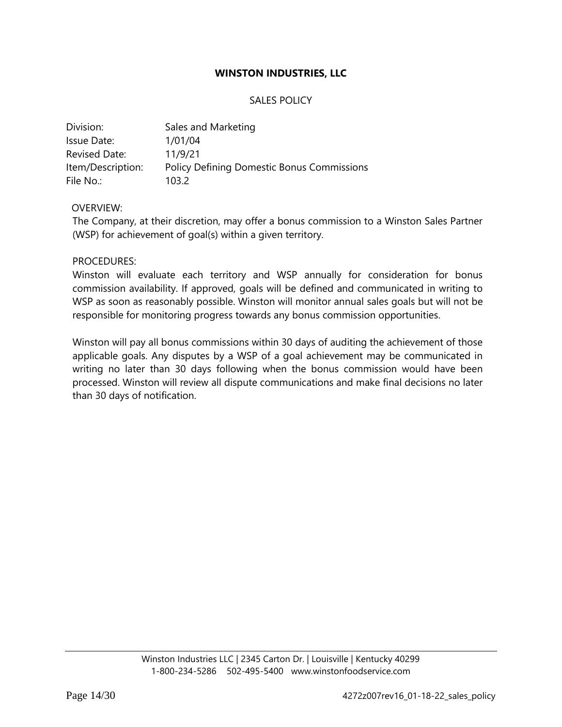## SALES POLICY

| Division:         | Sales and Marketing                               |
|-------------------|---------------------------------------------------|
| Issue Date:       | 1/01/04                                           |
| Revised Date:     | 11/9/21                                           |
| Item/Description: | <b>Policy Defining Domestic Bonus Commissions</b> |
| File No.:         | 103.2                                             |

#### OVERVIEW:

The Company, at their discretion, may offer a bonus commission to a Winston Sales Partner (WSP) for achievement of goal(s) within a given territory.

#### PROCEDURES:

Winston will evaluate each territory and WSP annually for consideration for bonus commission availability. If approved, goals will be defined and communicated in writing to WSP as soon as reasonably possible. Winston will monitor annual sales goals but will not be responsible for monitoring progress towards any bonus commission opportunities.

Winston will pay all bonus commissions within 30 days of auditing the achievement of those applicable goals. Any disputes by a WSP of a goal achievement may be communicated in writing no later than 30 days following when the bonus commission would have been processed. Winston will review all dispute communications and make final decisions no later than 30 days of notification.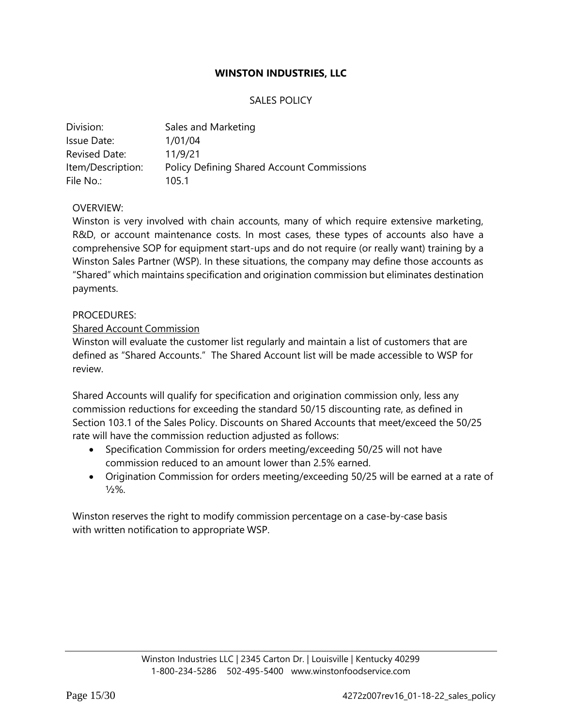## SALES POLICY

| Division:         | Sales and Marketing                               |
|-------------------|---------------------------------------------------|
| Issue Date:       | 1/01/04                                           |
| Revised Date:     | 11/9/21                                           |
| Item/Description: | <b>Policy Defining Shared Account Commissions</b> |
| File No.:         | 105.1                                             |

## OVERVIEW:

Winston is very involved with chain accounts, many of which require extensive marketing, R&D, or account maintenance costs. In most cases, these types of accounts also have a comprehensive SOP for equipment start-ups and do not require (or really want) training by a Winston Sales Partner (WSP). In these situations, the company may define those accounts as "Shared" which maintains specification and origination commission but eliminates destination payments.

#### PROCEDURES:

## Shared Account Commission

Winston will evaluate the customer list regularly and maintain a list of customers that are defined as "Shared Accounts." The Shared Account list will be made accessible to WSP for review.

Shared Accounts will qualify for specification and origination commission only, less any commission reductions for exceeding the standard 50/15 discounting rate, as defined in Section 103.1 of the Sales Policy. Discounts on Shared Accounts that meet/exceed the 50/25 rate will have the commission reduction adjusted as follows:

- Specification Commission for orders meeting/exceeding 50/25 will not have commission reduced to an amount lower than 2.5% earned.
- Origination Commission for orders meeting/exceeding 50/25 will be earned at a rate of  $1/2\%$ .

Winston reserves the right to modify commission percentage on a case-by-case basis with written notification to appropriate WSP.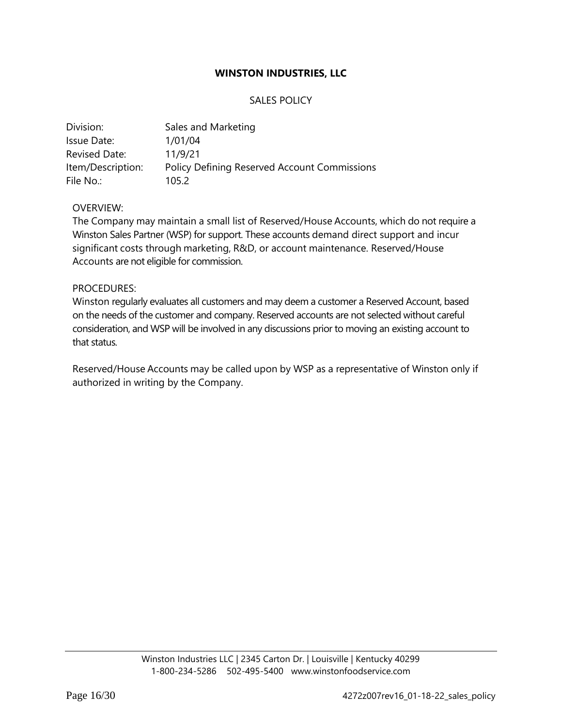## SALES POLICY

| Division:         | Sales and Marketing                                 |
|-------------------|-----------------------------------------------------|
| Issue Date:       | 1/01/04                                             |
| Revised Date:     | 11/9/21                                             |
| Item/Description: | <b>Policy Defining Reserved Account Commissions</b> |
| File No.:         | 105.2                                               |

#### OVERVIEW:

The Company may maintain a small list of Reserved/House Accounts, which do not require a Winston Sales Partner (WSP) for support. These accounts demand direct support and incur significant costs through marketing, R&D, or account maintenance. Reserved/House Accounts are not eligible for commission.

#### PROCEDURES:

Winston regularly evaluates all customers and may deem a customer a Reserved Account, based on the needs of the customer and company. Reserved accounts are not selected without careful consideration, and WSP will be involved in any discussions prior to moving an existing account to that status.

Reserved/House Accounts may be called upon by WSP as a representative of Winston only if authorized in writing by the Company.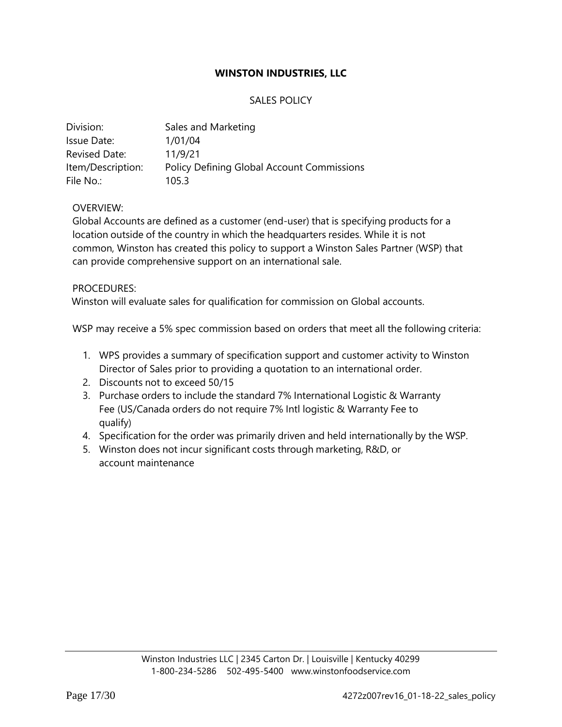# SALES POLICY

| Division:         | Sales and Marketing                               |
|-------------------|---------------------------------------------------|
| Issue Date:       | 1/01/04                                           |
| Revised Date:     | 11/9/21                                           |
| Item/Description: | <b>Policy Defining Global Account Commissions</b> |
| File No.:         | 105.3                                             |

## OVERVIEW:

Global Accounts are defined as a customer (end-user) that is specifying products for a location outside of the country in which the headquarters resides. While it is not common, Winston has created this policy to support a Winston Sales Partner (WSP) that can provide comprehensive support on an international sale.

## PROCEDURES:

Winston will evaluate sales for qualification for commission on Global accounts.

WSP may receive a 5% spec commission based on orders that meet all the following criteria:

- 1. WPS provides a summary of specification support and customer activity to Winston Director of Sales prior to providing a quotation to an international order.
- 2. Discounts not to exceed 50/15
- 3. Purchase orders to include the standard 7% International Logistic & Warranty Fee (US/Canada orders do not require 7% Intl logistic & Warranty Fee to qualify)
- 4. Specification for the order was primarily driven and held internationally by the WSP.
- 5. Winston does not incur significant costs through marketing, R&D, or account maintenance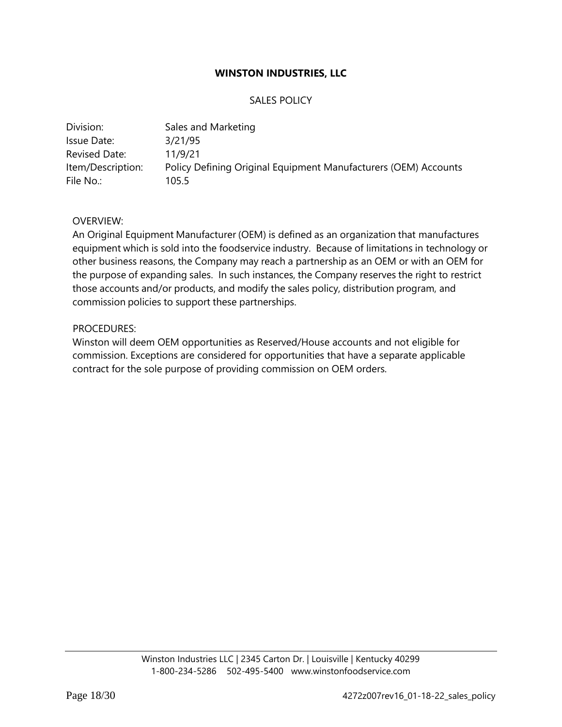## SALES POLICY

| Division:         | Sales and Marketing                                             |
|-------------------|-----------------------------------------------------------------|
| Issue Date:       | 3/21/95                                                         |
| Revised Date:     | 11/9/21                                                         |
| Item/Description: | Policy Defining Original Equipment Manufacturers (OEM) Accounts |
| File No.:         | 105.5                                                           |

#### OVERVIEW:

An Original Equipment Manufacturer (OEM) is defined as an organization that manufactures equipment which is sold into the foodservice industry. Because of limitations in technology or other business reasons, the Company may reach a partnership as an OEM or with an OEM for the purpose of expanding sales. In such instances, the Company reserves the right to restrict those accounts and/or products, and modify the sales policy, distribution program, and commission policies to support these partnerships.

#### PROCEDURES:

Winston will deem OEM opportunities as Reserved/House accounts and not eligible for commission. Exceptions are considered for opportunities that have a separate applicable contract for the sole purpose of providing commission on OEM orders.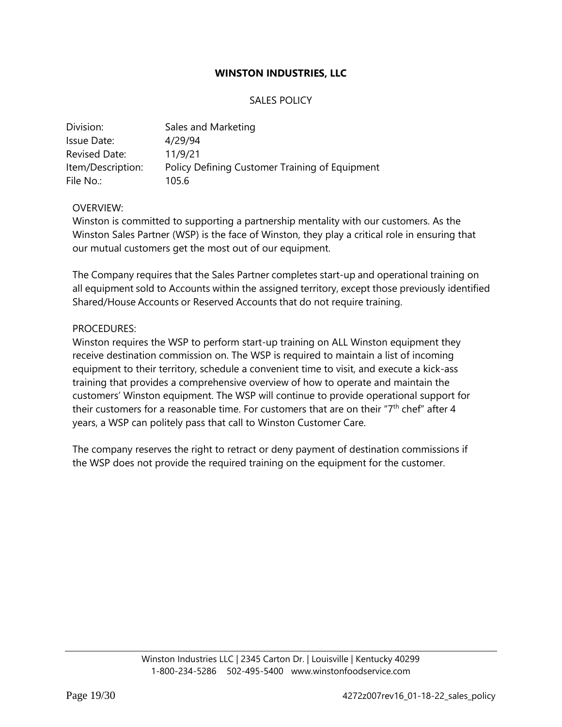## SALES POLICY

| Division:         | Sales and Marketing                            |
|-------------------|------------------------------------------------|
| Issue Date:       | 4/29/94                                        |
| Revised Date:     | 11/9/21                                        |
| Item/Description: | Policy Defining Customer Training of Equipment |
| File No.:         | 105.6                                          |

#### OVERVIEW:

Winston is committed to supporting a partnership mentality with our customers. As the Winston Sales Partner (WSP) is the face of Winston, they play a critical role in ensuring that our mutual customers get the most out of our equipment.

The Company requires that the Sales Partner completes start-up and operational training on all equipment sold to Accounts within the assigned territory, except those previously identified Shared/House Accounts or Reserved Accounts that do not require training.

#### PROCEDURES:

Winston requires the WSP to perform start-up training on ALL Winston equipment they receive destination commission on. The WSP is required to maintain a list of incoming equipment to their territory, schedule a convenient time to visit, and execute a kick-ass training that provides a comprehensive overview of how to operate and maintain the customers' Winston equipment. The WSP will continue to provide operational support for their customers for a reasonable time. For customers that are on their "7<sup>th</sup> chef" after 4 years, a WSP can politely pass that call to Winston Customer Care.

The company reserves the right to retract or deny payment of destination commissions if the WSP does not provide the required training on the equipment for the customer.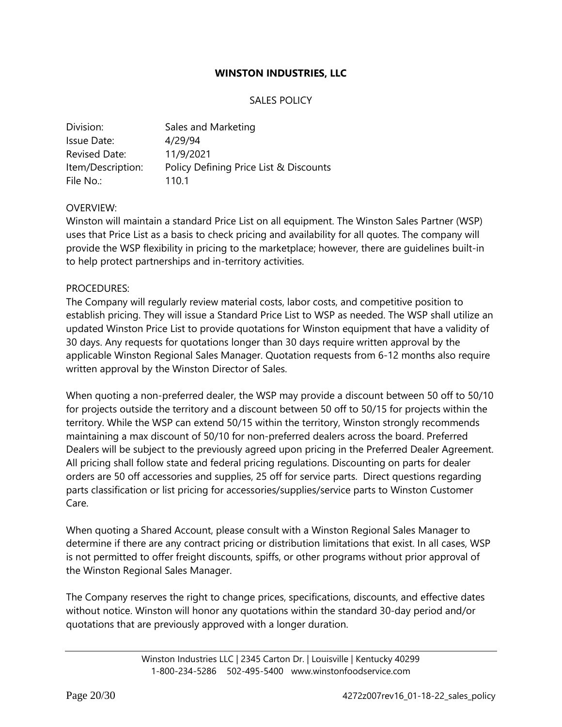## SALES POLICY

| Division:            | Sales and Marketing                    |
|----------------------|----------------------------------------|
| Issue Date:          | 4/29/94                                |
| <b>Revised Date:</b> | 11/9/2021                              |
| Item/Description:    | Policy Defining Price List & Discounts |
| File No.:            | 110.1                                  |

#### OVERVIEW:

Winston will maintain a standard Price List on all equipment. The Winston Sales Partner (WSP) uses that Price List as a basis to check pricing and availability for all quotes. The company will provide the WSP flexibility in pricing to the marketplace; however, there are guidelines built-in to help protect partnerships and in-territory activities.

#### PROCEDURES:

The Company will regularly review material costs, labor costs, and competitive position to establish pricing. They will issue a Standard Price List to WSP as needed. The WSP shall utilize an updated Winston Price List to provide quotations for Winston equipment that have a validity of 30 days. Any requests for quotations longer than 30 days require written approval by the applicable Winston Regional Sales Manager. Quotation requests from 6-12 months also require written approval by the Winston Director of Sales.

When quoting a non-preferred dealer, the WSP may provide a discount between 50 off to 50/10 for projects outside the territory and a discount between 50 off to 50/15 for projects within the territory. While the WSP can extend 50/15 within the territory, Winston strongly recommends maintaining a max discount of 50/10 for non-preferred dealers across the board. Preferred Dealers will be subject to the previously agreed upon pricing in the Preferred Dealer Agreement. All pricing shall follow state and federal pricing regulations. Discounting on parts for dealer orders are 50 off accessories and supplies, 25 off for service parts. Direct questions regarding parts classification or list pricing for accessories/supplies/service parts to Winston Customer Care.

When quoting a Shared Account, please consult with a Winston Regional Sales Manager to determine if there are any contract pricing or distribution limitations that exist. In all cases, WSP is not permitted to offer freight discounts, spiffs, or other programs without prior approval of the Winston Regional Sales Manager.

The Company reserves the right to change prices, specifications, discounts, and effective dates without notice. Winston will honor any quotations within the standard 30-day period and/or quotations that are previously approved with a longer duration.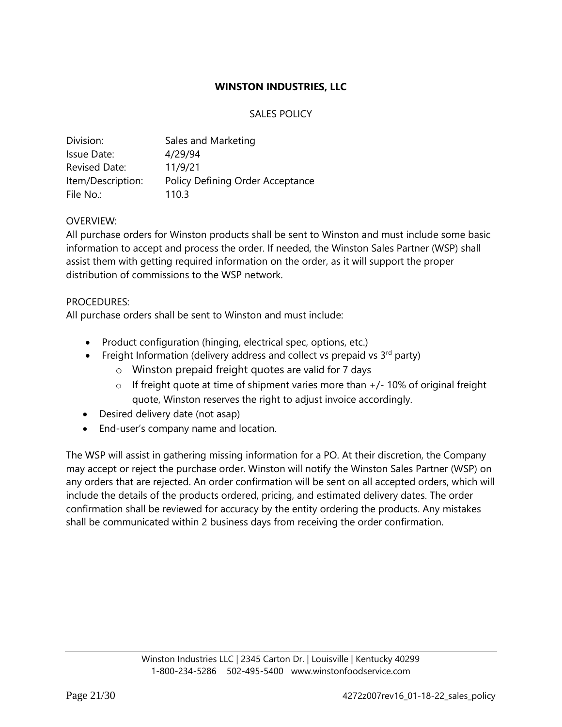# SALES POLICY

| Division:            | Sales and Marketing              |
|----------------------|----------------------------------|
| Issue Date:          | 4/29/94                          |
| <b>Revised Date:</b> | 11/9/21                          |
| Item/Description:    | Policy Defining Order Acceptance |
| File No.:            | 110.3                            |

# OVERVIEW:

All purchase orders for Winston products shall be sent to Winston and must include some basic information to accept and process the order. If needed, the Winston Sales Partner (WSP) shall assist them with getting required information on the order, as it will support the proper distribution of commissions to the WSP network.

# PROCEDURES:

All purchase orders shall be sent to Winston and must include:

- Product configuration (hinging, electrical spec, options, etc.)
- Freight Information (delivery address and collect vs prepaid vs  $3<sup>rd</sup>$  party)
	- o Winston prepaid freight quotes are valid for 7 days
	- $\circ$  If freight quote at time of shipment varies more than  $+/-10\%$  of original freight quote, Winston reserves the right to adjust invoice accordingly.
- Desired delivery date (not asap)
- End-user's company name and location.

The WSP will assist in gathering missing information for a PO. At their discretion, the Company may accept or reject the purchase order. Winston will notify the Winston Sales Partner (WSP) on any orders that are rejected. An order confirmation will be sent on all accepted orders, which will include the details of the products ordered, pricing, and estimated delivery dates. The order confirmation shall be reviewed for accuracy by the entity ordering the products. Any mistakes shall be communicated within 2 business days from receiving the order confirmation.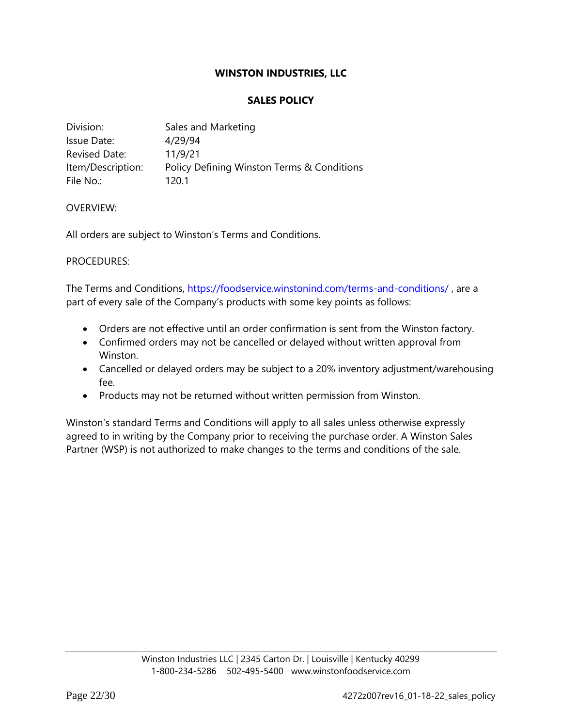## **SALES POLICY**

| Division:         | Sales and Marketing                        |
|-------------------|--------------------------------------------|
| Issue Date:       | 4/29/94                                    |
| Revised Date:     | 11/9/21                                    |
| Item/Description: | Policy Defining Winston Terms & Conditions |
| File No.:         | 120.1                                      |

#### OVERVIEW:

All orders are subject to Winston's Terms and Conditions.

#### PROCEDURES:

The Terms and Conditions,<https://foodservice.winstonind.com/terms-and-conditions/> , are a part of every sale of the Company's products with some key points as follows:

- Orders are not effective until an order confirmation is sent from the Winston factory.
- Confirmed orders may not be cancelled or delayed without written approval from Winston.
- Cancelled or delayed orders may be subject to a 20% inventory adjustment/warehousing fee.
- Products may not be returned without written permission from Winston.

Winston's standard Terms and Conditions will apply to all sales unless otherwise expressly agreed to in writing by the Company prior to receiving the purchase order. A Winston Sales Partner (WSP) is not authorized to make changes to the terms and conditions of the sale.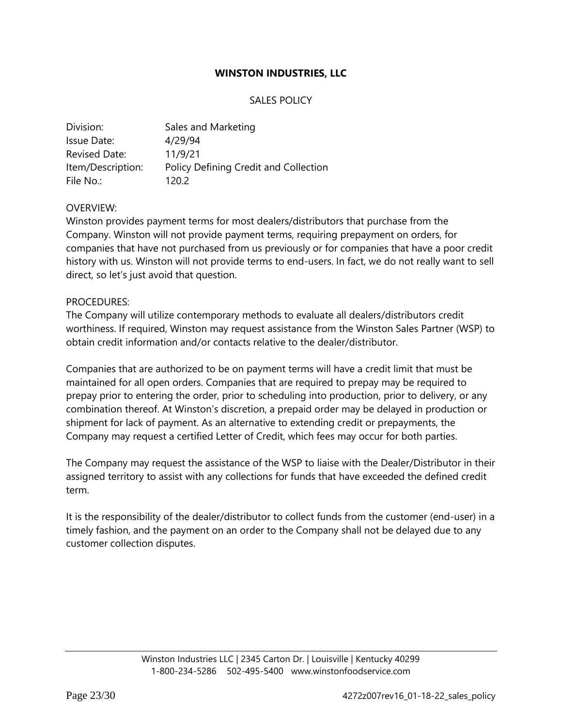## SALES POLICY

| Division:            | Sales and Marketing                   |
|----------------------|---------------------------------------|
| Issue Date:          | 4/29/94                               |
| <b>Revised Date:</b> | 11/9/21                               |
| Item/Description:    | Policy Defining Credit and Collection |
| File No.:            | 120.2                                 |

#### OVERVIEW:

Winston provides payment terms for most dealers/distributors that purchase from the Company. Winston will not provide payment terms, requiring prepayment on orders, for companies that have not purchased from us previously or for companies that have a poor credit history with us. Winston will not provide terms to end-users. In fact, we do not really want to sell direct, so let's just avoid that question.

#### PROCEDURES:

The Company will utilize contemporary methods to evaluate all dealers/distributors credit worthiness. If required, Winston may request assistance from the Winston Sales Partner (WSP) to obtain credit information and/or contacts relative to the dealer/distributor.

Companies that are authorized to be on payment terms will have a credit limit that must be maintained for all open orders. Companies that are required to prepay may be required to prepay prior to entering the order, prior to scheduling into production, prior to delivery, or any combination thereof. At Winston's discretion, a prepaid order may be delayed in production or shipment for lack of payment. As an alternative to extending credit or prepayments, the Company may request a certified Letter of Credit, which fees may occur for both parties.

The Company may request the assistance of the WSP to liaise with the Dealer/Distributor in their assigned territory to assist with any collections for funds that have exceeded the defined credit term.

It is the responsibility of the dealer/distributor to collect funds from the customer (end-user) in a timely fashion, and the payment on an order to the Company shall not be delayed due to any customer collection disputes.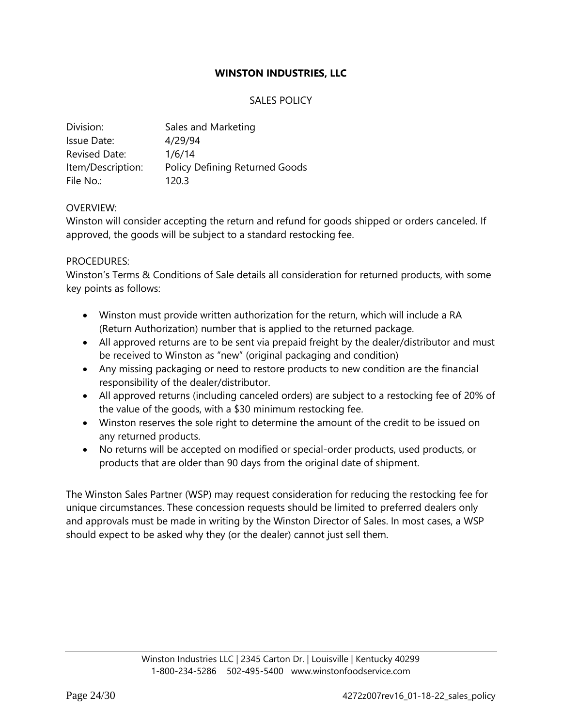## SALES POLICY

| Division:            | Sales and Marketing                   |
|----------------------|---------------------------------------|
| Issue Date:          | 4/29/94                               |
| <b>Revised Date:</b> | 1/6/14                                |
| Item/Description:    | <b>Policy Defining Returned Goods</b> |
| File No.:            | 120.3                                 |

#### OVERVIEW:

Winston will consider accepting the return and refund for goods shipped or orders canceled. If approved, the goods will be subject to a standard restocking fee.

#### PROCEDURES:

Winston's Terms & Conditions of Sale details all consideration for returned products, with some key points as follows:

- Winston must provide written authorization for the return, which will include a RA (Return Authorization) number that is applied to the returned package.
- All approved returns are to be sent via prepaid freight by the dealer/distributor and must be received to Winston as "new" (original packaging and condition)
- Any missing packaging or need to restore products to new condition are the financial responsibility of the dealer/distributor.
- All approved returns (including canceled orders) are subject to a restocking fee of 20% of the value of the goods, with a \$30 minimum restocking fee.
- Winston reserves the sole right to determine the amount of the credit to be issued on any returned products.
- No returns will be accepted on modified or special-order products, used products, or products that are older than 90 days from the original date of shipment.

The Winston Sales Partner (WSP) may request consideration for reducing the restocking fee for unique circumstances. These concession requests should be limited to preferred dealers only and approvals must be made in writing by the Winston Director of Sales. In most cases, a WSP should expect to be asked why they (or the dealer) cannot just sell them.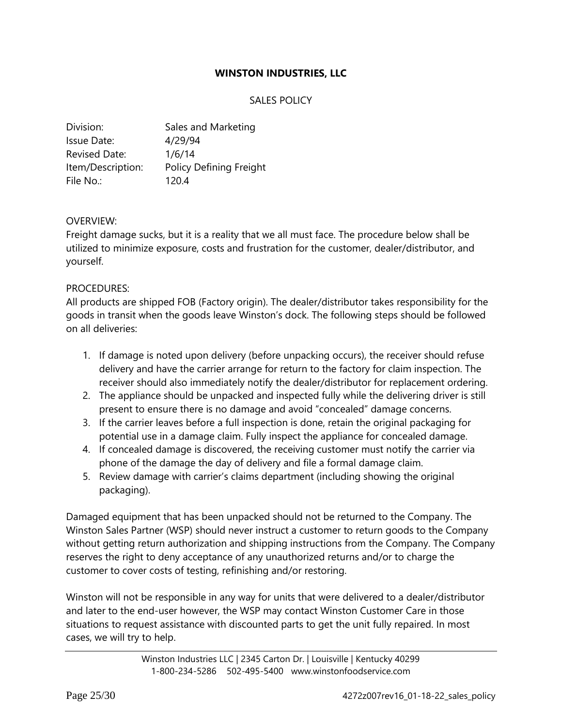# SALES POLICY

| Division:            | Sales and Marketing            |
|----------------------|--------------------------------|
| Issue Date:          | 4/29/94                        |
| <b>Revised Date:</b> | 1/6/14                         |
| Item/Description:    | <b>Policy Defining Freight</b> |
| File No.:            | 120.4                          |

#### OVERVIEW:

Freight damage sucks, but it is a reality that we all must face. The procedure below shall be utilized to minimize exposure, costs and frustration for the customer, dealer/distributor, and yourself.

## PROCEDURES:

All products are shipped FOB (Factory origin). The dealer/distributor takes responsibility for the goods in transit when the goods leave Winston's dock. The following steps should be followed on all deliveries:

- 1. If damage is noted upon delivery (before unpacking occurs), the receiver should refuse delivery and have the carrier arrange for return to the factory for claim inspection. The receiver should also immediately notify the dealer/distributor for replacement ordering.
- 2. The appliance should be unpacked and inspected fully while the delivering driver is still present to ensure there is no damage and avoid "concealed" damage concerns.
- 3. If the carrier leaves before a full inspection is done, retain the original packaging for potential use in a damage claim. Fully inspect the appliance for concealed damage.
- 4. If concealed damage is discovered, the receiving customer must notify the carrier via phone of the damage the day of delivery and file a formal damage claim.
- 5. Review damage with carrier's claims department (including showing the original packaging).

Damaged equipment that has been unpacked should not be returned to the Company. The Winston Sales Partner (WSP) should never instruct a customer to return goods to the Company without getting return authorization and shipping instructions from the Company. The Company reserves the right to deny acceptance of any unauthorized returns and/or to charge the customer to cover costs of testing, refinishing and/or restoring.

Winston will not be responsible in any way for units that were delivered to a dealer/distributor and later to the end-user however, the WSP may contact Winston Customer Care in those situations to request assistance with discounted parts to get the unit fully repaired. In most cases, we will try to help.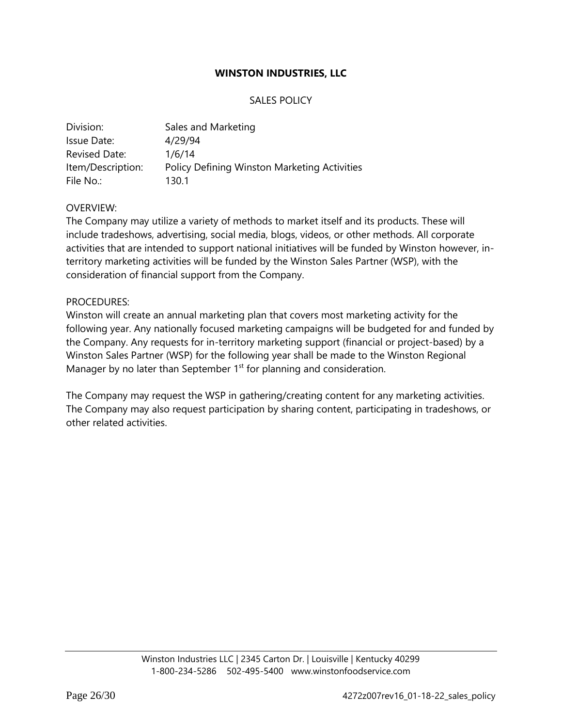## SALES POLICY

| Division:            | Sales and Marketing                          |
|----------------------|----------------------------------------------|
| Issue Date:          | 4/29/94                                      |
| <b>Revised Date:</b> | 1/6/14                                       |
| Item/Description:    | Policy Defining Winston Marketing Activities |
| File No.:            | 130.1                                        |

#### OVERVIEW:

The Company may utilize a variety of methods to market itself and its products. These will include tradeshows, advertising, social media, blogs, videos, or other methods. All corporate activities that are intended to support national initiatives will be funded by Winston however, interritory marketing activities will be funded by the Winston Sales Partner (WSP), with the consideration of financial support from the Company.

#### PROCEDURES:

Winston will create an annual marketing plan that covers most marketing activity for the following year. Any nationally focused marketing campaigns will be budgeted for and funded by the Company. Any requests for in-territory marketing support (financial or project-based) by a Winston Sales Partner (WSP) for the following year shall be made to the Winston Regional Manager by no later than September 1<sup>st</sup> for planning and consideration.

The Company may request the WSP in gathering/creating content for any marketing activities. The Company may also request participation by sharing content, participating in tradeshows, or other related activities.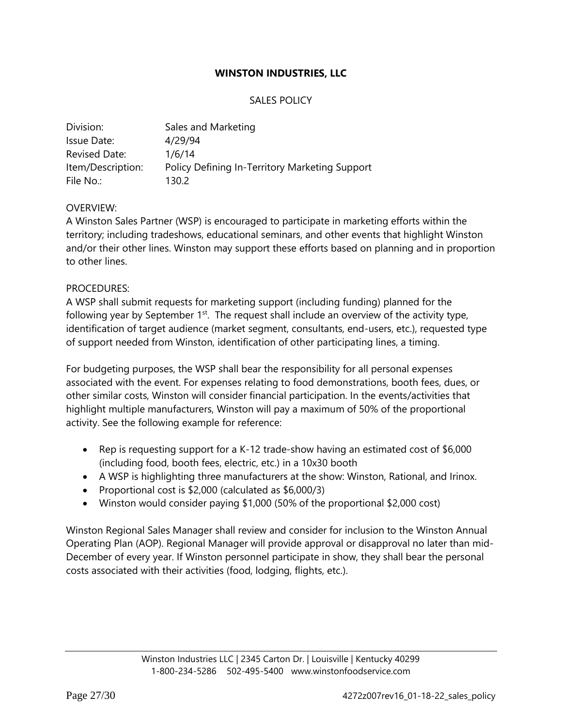# SALES POLICY

| Division:         | Sales and Marketing                            |
|-------------------|------------------------------------------------|
| Issue Date:       | 4/29/94                                        |
| Revised Date:     | 1/6/14                                         |
| Item/Description: | Policy Defining In-Territory Marketing Support |
| File No.:         | 130.2                                          |

## OVERVIEW:

A Winston Sales Partner (WSP) is encouraged to participate in marketing efforts within the territory; including tradeshows, educational seminars, and other events that highlight Winston and/or their other lines. Winston may support these efforts based on planning and in proportion to other lines.

## PROCEDURES:

A WSP shall submit requests for marketing support (including funding) planned for the following year by September  $1<sup>st</sup>$ . The request shall include an overview of the activity type, identification of target audience (market segment, consultants, end-users, etc.), requested type of support needed from Winston, identification of other participating lines, a timing.

For budgeting purposes, the WSP shall bear the responsibility for all personal expenses associated with the event. For expenses relating to food demonstrations, booth fees, dues, or other similar costs, Winston will consider financial participation. In the events/activities that highlight multiple manufacturers, Winston will pay a maximum of 50% of the proportional activity. See the following example for reference:

- Rep is requesting support for a K-12 trade-show having an estimated cost of \$6,000 (including food, booth fees, electric, etc.) in a 10x30 booth
- A WSP is highlighting three manufacturers at the show: Winston, Rational, and Irinox.
- Proportional cost is \$2,000 (calculated as \$6,000/3)
- Winston would consider paying \$1,000 (50% of the proportional \$2,000 cost)

Winston Regional Sales Manager shall review and consider for inclusion to the Winston Annual Operating Plan (AOP). Regional Manager will provide approval or disapproval no later than mid-December of every year. If Winston personnel participate in show, they shall bear the personal costs associated with their activities (food, lodging, flights, etc.).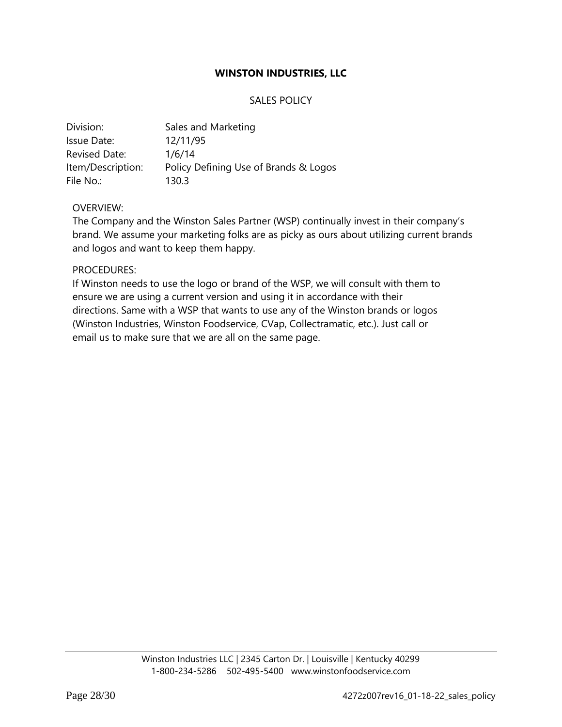## SALES POLICY

| Division:            | Sales and Marketing                   |
|----------------------|---------------------------------------|
| Issue Date:          | 12/11/95                              |
| <b>Revised Date:</b> | 1/6/14                                |
| Item/Description:    | Policy Defining Use of Brands & Logos |
| File No.:            | 130.3                                 |

#### OVERVIEW:

The Company and the Winston Sales Partner (WSP) continually invest in their company's brand. We assume your marketing folks are as picky as ours about utilizing current brands and logos and want to keep them happy.

#### PROCEDURES:

If Winston needs to use the logo or brand of the WSP, we will consult with them to ensure we are using a current version and using it in accordance with their directions. Same with a WSP that wants to use any of the Winston brands or logos (Winston Industries, Winston Foodservice, CVap, Collectramatic, etc.). Just call or email us to make sure that we are all on the same page.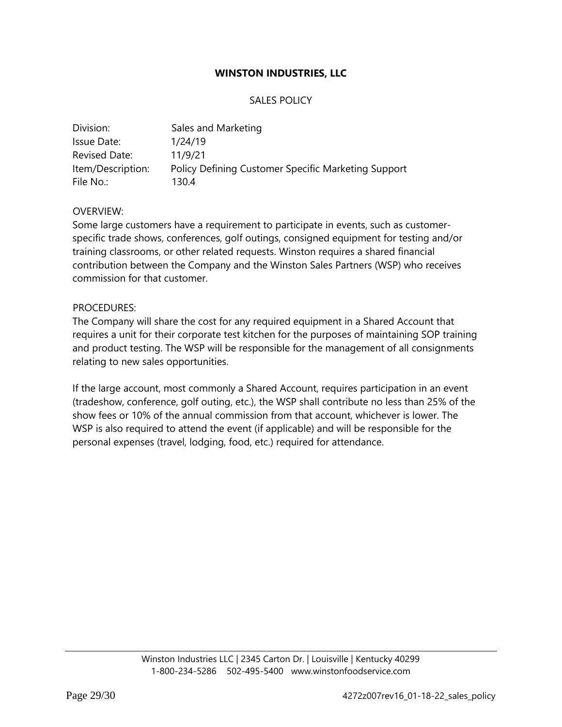## SALES POLICY

| Division:         | Sales and Marketing                                 |
|-------------------|-----------------------------------------------------|
| Issue Date:       | 1/24/19                                             |
| Revised Date:     | 11/9/21                                             |
| Item/Description: | Policy Defining Customer Specific Marketing Support |
| File No.:         | 130.4                                               |

## OVERVIEW:

Some large customers have a requirement to participate in events, such as customerspecific trade shows, conferences, golf outings, consigned equipment for testing and/or training classrooms, or other related requests. Winston requires a shared financial contribution between the Company and the Winston Sales Partners (WSP) who receives commission for that customer.

#### PROCEDURES:

The Company will share the cost for any required equipment in a Shared Account that requires a unit for their corporate test kitchen for the purposes of maintaining SOP training and product testing. The WSP will be responsible for the management of all consignments relating to new sales opportunities.

If the large account, most commonly a Shared Account, requires participation in an event (tradeshow, conference, golf outing, etc.), the WSP shall contribute no less than 25% of the show fees or 10% of the annual commission from that account, whichever is lower. The WSP is also required to attend the event (if applicable) and will be responsible for the personal expenses (travel, lodging, food, etc.) required for attendance.